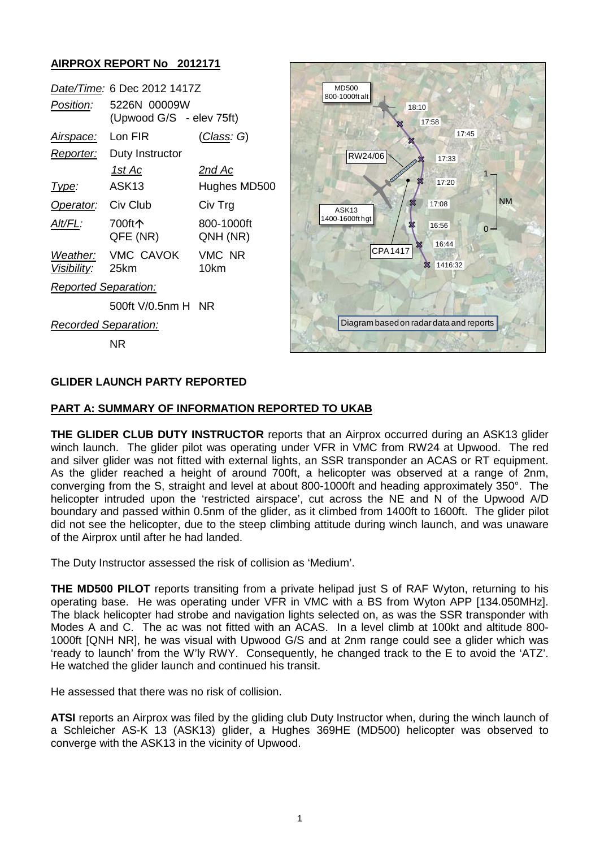### **AIRPROX REPORT No 2012171**

| Date/Time: 6 Dec 2012 1417Z |                                          |                        |  |  |
|-----------------------------|------------------------------------------|------------------------|--|--|
| <i>Position:</i>            | 5226N 00009W<br>(Upwood G/S - elev 75ft) |                        |  |  |
| <u>Airspace:</u>            | Lon FIR                                  | <u>(Class</u> : G)     |  |  |
| Reporter:                   | Duty Instructor                          |                        |  |  |
|                             | 1st Ac                                   | 2nd Ac                 |  |  |
| Type:                       | ASK <sub>13</sub>                        | Hughes MD500           |  |  |
| Operator: Civ Club          |                                          | Civ Trg                |  |  |
| Alt/FL:                     | 700ft个<br>QFE (NR)                       | 800-1000ft<br>QNH (NR) |  |  |
| Visibility: 25km            | Weather: VMC CAVOK                       | VMC NR<br>10km         |  |  |
| <b>Reported Separation:</b> |                                          |                        |  |  |
|                             | 500ft V/0.5nm H NR                       |                        |  |  |
| <b>Recorded Separation:</b> |                                          |                        |  |  |

NR



#### **GLIDER LAUNCH PARTY REPORTED**

#### **PART A: SUMMARY OF INFORMATION REPORTED TO UKAB**

**THE GLIDER CLUB DUTY INSTRUCTOR** reports that an Airprox occurred during an ASK13 glider winch launch. The glider pilot was operating under VFR in VMC from RW24 at Upwood. The red and silver glider was not fitted with external lights, an SSR transponder an ACAS or RT equipment. As the glider reached a height of around 700ft, a helicopter was observed at a range of 2nm, converging from the S, straight and level at about 800-1000ft and heading approximately 350°. The helicopter intruded upon the 'restricted airspace', cut across the NE and N of the Upwood A/D boundary and passed within 0.5nm of the glider, as it climbed from 1400ft to 1600ft. The glider pilot did not see the helicopter, due to the steep climbing attitude during winch launch, and was unaware of the Airprox until after he had landed.

The Duty Instructor assessed the risk of collision as 'Medium'.

**THE MD500 PILOT** reports transiting from a private helipad just S of RAF Wyton, returning to his operating base. He was operating under VFR in VMC with a BS from Wyton APP [134.050MHz]. The black helicopter had strobe and navigation lights selected on, as was the SSR transponder with Modes A and C. The ac was not fitted with an ACAS. In a level climb at 100kt and altitude 800- 1000ft [QNH NR], he was visual with Upwood G/S and at 2nm range could see a glider which was 'ready to launch' from the W'ly RWY. Consequently, he changed track to the E to avoid the 'ATZ'. He watched the glider launch and continued his transit.

He assessed that there was no risk of collision.

**ATSI** reports an Airprox was filed by the gliding club Duty Instructor when, during the winch launch of a Schleicher AS-K 13 (ASK13) glider, a Hughes 369HE (MD500) helicopter was observed to converge with the ASK13 in the vicinity of Upwood.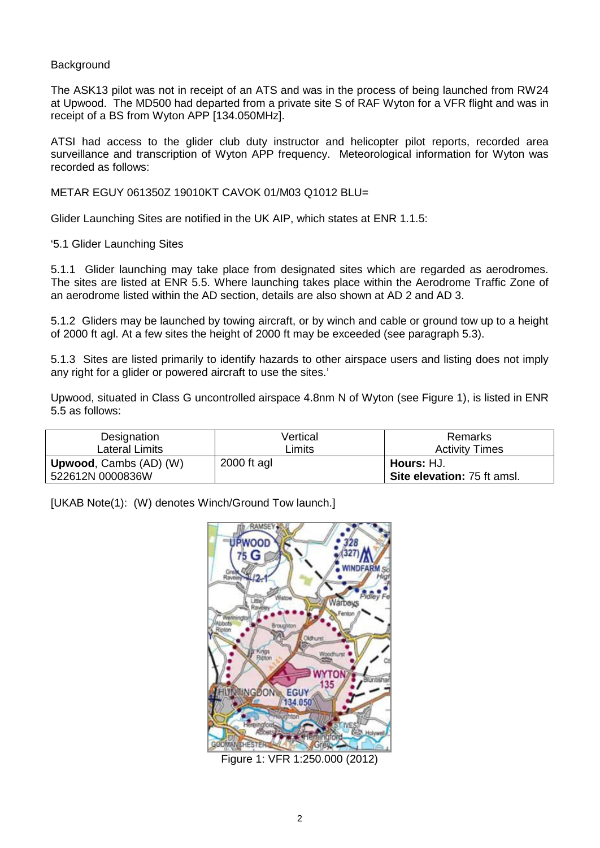#### **Background**

The ASK13 pilot was not in receipt of an ATS and was in the process of being launched from RW24 at Upwood. The MD500 had departed from a private site S of RAF Wyton for a VFR flight and was in receipt of a BS from Wyton APP [134.050MHz].

ATSI had access to the glider club duty instructor and helicopter pilot reports, recorded area surveillance and transcription of Wyton APP frequency. Meteorological information for Wyton was recorded as follows:

METAR EGUY 061350Z 19010KT CAVOK 01/M03 Q1012 BLU=

Glider Launching Sites are notified in the UK AIP, which states at ENR 1.1.5:

'5.1 Glider Launching Sites

5.1.1 Glider launching may take place from designated sites which are regarded as aerodromes. The sites are listed at ENR 5.5. Where launching takes place within the Aerodrome Traffic Zone of an aerodrome listed within the AD section, details are also shown at AD 2 and AD 3.

5.1.2 Gliders may be launched by towing aircraft, or by winch and cable or ground tow up to a height of 2000 ft agl. At a few sites the height of 2000 ft may be exceeded (see paragraph 5.3).

5.1.3 Sites are listed primarily to identify hazards to other airspace users and listing does not imply any right for a glider or powered aircraft to use the sites.'

Upwood, situated in Class G uncontrolled airspace 4.8nm N of Wyton (see Figure 1), is listed in ENR 5.5 as follows:

| Designation                   | Vertical      | Remarks                     |
|-------------------------------|---------------|-----------------------------|
| Lateral Limits                | _imits        | <b>Activity Times</b>       |
| <b>Upwood, Cambs (AD) (W)</b> | $2000$ ft agl | ! <b>Hours:</b> HJ.         |
| 522612N 0000836W              |               | Site elevation: 75 ft amsl. |

[UKAB Note(1): (W) denotes Winch/Ground Tow launch.]



Figure 1: VFR 1:250.000 (2012)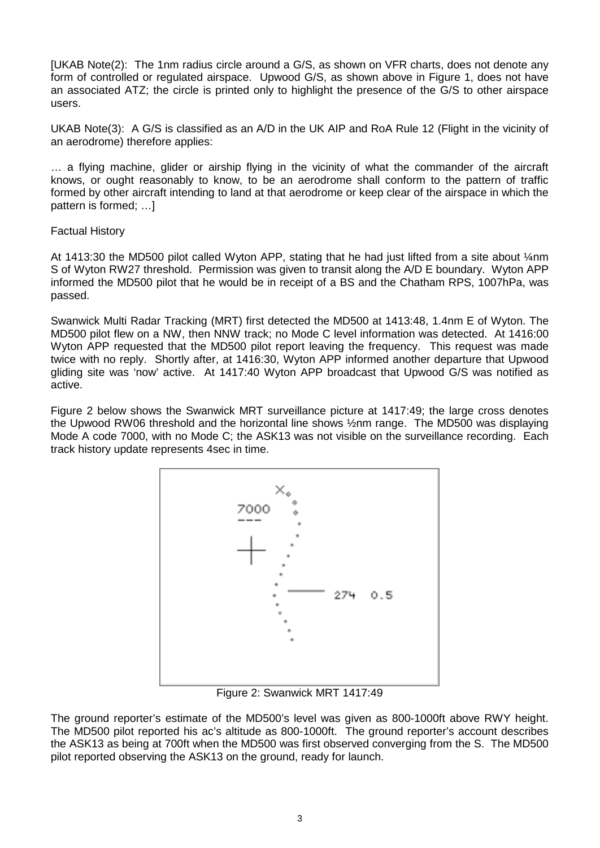[UKAB Note(2): The 1nm radius circle around a G/S, as shown on VFR charts, does not denote any form of controlled or regulated airspace. Upwood G/S, as shown above in Figure 1, does not have an associated ATZ; the circle is printed only to highlight the presence of the G/S to other airspace users.

UKAB Note(3): A G/S is classified as an A/D in the UK AIP and RoA Rule 12 (Flight in the vicinity of an aerodrome) therefore applies:

… a flying machine, glider or airship flying in the vicinity of what the commander of the aircraft knows, or ought reasonably to know, to be an aerodrome shall conform to the pattern of traffic formed by other aircraft intending to land at that aerodrome or keep clear of the airspace in which the pattern is formed; …]

#### Factual History

At 1413:30 the MD500 pilot called Wyton APP, stating that he had just lifted from a site about ¼nm S of Wyton RW27 threshold. Permission was given to transit along the A/D E boundary. Wyton APP informed the MD500 pilot that he would be in receipt of a BS and the Chatham RPS, 1007hPa, was passed.

Swanwick Multi Radar Tracking (MRT) first detected the MD500 at 1413:48, 1.4nm E of Wyton. The MD500 pilot flew on a NW, then NNW track; no Mode C level information was detected. At 1416:00 Wyton APP requested that the MD500 pilot report leaving the frequency. This request was made twice with no reply. Shortly after, at 1416:30, Wyton APP informed another departure that Upwood gliding site was 'now' active. At 1417:40 Wyton APP broadcast that Upwood G/S was notified as active.

Figure 2 below shows the Swanwick MRT surveillance picture at 1417:49; the large cross denotes the Upwood RW06 threshold and the horizontal line shows ½nm range. The MD500 was displaying Mode A code 7000, with no Mode C; the ASK13 was not visible on the surveillance recording. Each track history update represents 4sec in time.



Figure 2: Swanwick MRT 1417:49

The ground reporter's estimate of the MD500's level was given as 800-1000ft above RWY height. The MD500 pilot reported his ac's altitude as 800-1000ft. The ground reporter's account describes the ASK13 as being at 700ft when the MD500 was first observed converging from the S. The MD500 pilot reported observing the ASK13 on the ground, ready for launch.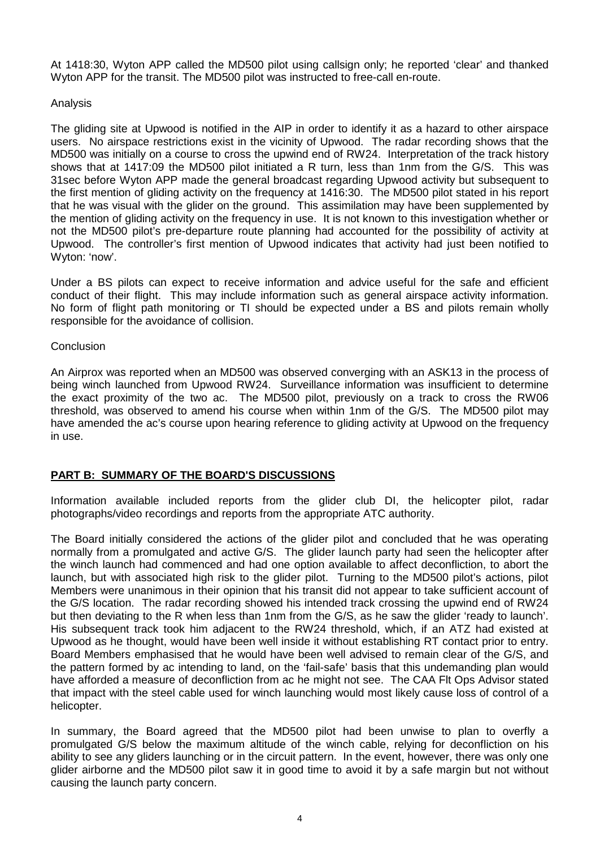At 1418:30, Wyton APP called the MD500 pilot using callsign only; he reported 'clear' and thanked Wyton APP for the transit. The MD500 pilot was instructed to free-call en-route.

#### Analysis

The gliding site at Upwood is notified in the AIP in order to identify it as a hazard to other airspace users. No airspace restrictions exist in the vicinity of Upwood. The radar recording shows that the MD500 was initially on a course to cross the upwind end of RW24. Interpretation of the track history shows that at 1417:09 the MD500 pilot initiated a R turn, less than 1nm from the G/S. This was 31sec before Wyton APP made the general broadcast regarding Upwood activity but subsequent to the first mention of gliding activity on the frequency at 1416:30. The MD500 pilot stated in his report that he was visual with the glider on the ground. This assimilation may have been supplemented by the mention of gliding activity on the frequency in use. It is not known to this investigation whether or not the MD500 pilot's pre-departure route planning had accounted for the possibility of activity at Upwood. The controller's first mention of Upwood indicates that activity had just been notified to Wyton: 'now'.

Under a BS pilots can expect to receive information and advice useful for the safe and efficient conduct of their flight. This may include information such as general airspace activity information. No form of flight path monitoring or TI should be expected under a BS and pilots remain wholly responsible for the avoidance of collision.

#### **Conclusion**

An Airprox was reported when an MD500 was observed converging with an ASK13 in the process of being winch launched from Upwood RW24. Surveillance information was insufficient to determine the exact proximity of the two ac. The MD500 pilot, previously on a track to cross the RW06 threshold, was observed to amend his course when within 1nm of the G/S. The MD500 pilot may have amended the ac's course upon hearing reference to gliding activity at Upwood on the frequency in use.

## **PART B: SUMMARY OF THE BOARD'S DISCUSSIONS**

Information available included reports from the glider club DI, the helicopter pilot, radar photographs/video recordings and reports from the appropriate ATC authority.

The Board initially considered the actions of the glider pilot and concluded that he was operating normally from a promulgated and active G/S. The glider launch party had seen the helicopter after the winch launch had commenced and had one option available to affect deconfliction, to abort the launch, but with associated high risk to the glider pilot. Turning to the MD500 pilot's actions, pilot Members were unanimous in their opinion that his transit did not appear to take sufficient account of the G/S location. The radar recording showed his intended track crossing the upwind end of RW24 but then deviating to the R when less than 1nm from the G/S, as he saw the glider 'ready to launch'. His subsequent track took him adjacent to the RW24 threshold, which, if an ATZ had existed at Upwood as he thought, would have been well inside it without establishing RT contact prior to entry. Board Members emphasised that he would have been well advised to remain clear of the G/S, and the pattern formed by ac intending to land, on the 'fail-safe' basis that this undemanding plan would have afforded a measure of deconfliction from ac he might not see. The CAA Flt Ops Advisor stated that impact with the steel cable used for winch launching would most likely cause loss of control of a helicopter.

In summary, the Board agreed that the MD500 pilot had been unwise to plan to overfly a promulgated G/S below the maximum altitude of the winch cable, relying for deconfliction on his ability to see any gliders launching or in the circuit pattern. In the event, however, there was only one glider airborne and the MD500 pilot saw it in good time to avoid it by a safe margin but not without causing the launch party concern.